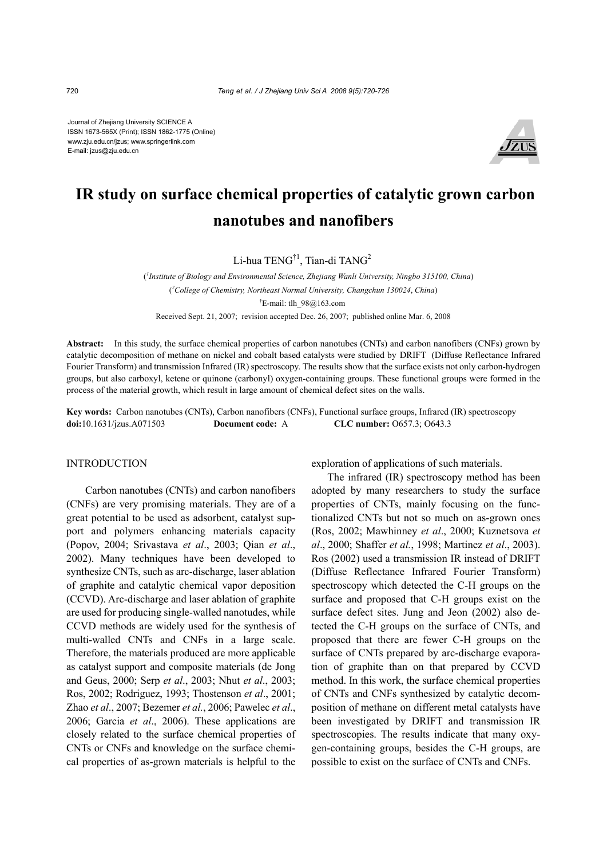Journal of Zhejiang University SCIENCE A ISSN 1673-565X (Print); ISSN 1862-1775 (Online) www.zju.edu.cn/jzus; www.springerlink.com E-mail: jzus@zju.edu.cn



# **IR study on surface chemical properties of catalytic grown carbon nanotubes and nanofibers**

Li-hua TENG<sup>†1</sup>, Tian-di TANG<sup>2</sup>

( *1 Institute of Biology and Environmental Science, Zhejiang Wanli University, Ningbo 315100, China*) ( *2 College of Chemistry, Northeast Normal University, Changchun 130024*, *China*) † E-mail: tlh\_98@163.com

Received Sept. 21, 2007; revision accepted Dec. 26, 2007; published online Mar. 6, 2008

**Abstract:** In this study, the surface chemical properties of carbon nanotubes (CNTs) and carbon nanofibers (CNFs) grown by catalytic decomposition of methane on nickel and cobalt based catalysts were studied by DRIFT (Diffuse Reflectance Infrared Fourier Transform) and transmission Infrared (IR) spectroscopy. The results show that the surface exists not only carbon-hydrogen groups, but also carboxyl, ketene or quinone (carbonyl) oxygen-containing groups. These functional groups were formed in the process of the material growth, which result in large amount of chemical defect sites on the walls.

**Key words:** Carbon nanotubes (CNTs), Carbon nanofibers (CNFs), Functional surface groups, Infrared (IR) spectroscopy **doi:**10.1631/jzus.A071503 **Document code:** A **CLC number:** O657.3; O643.3

## INTRODUCTION

Carbon nanotubes (CNTs) and carbon nanofibers (CNFs) are very promising materials. They are of a great potential to be used as adsorbent, catalyst support and polymers enhancing materials capacity (Popov, 2004; Srivastava *et al*., 2003; Qian *et al*., 2002). Many techniques have been developed to synthesize CNTs, such as arc-discharge, laser ablation of graphite and catalytic chemical vapor deposition (CCVD). Arc-discharge and laser ablation of graphite are used for producing single-walled nanotudes, while CCVD methods are widely used for the synthesis of multi-walled CNTs and CNFs in a large scale. Therefore, the materials produced are more applicable as catalyst support and composite materials (de Jong and Geus, 2000; Serp *et al*., 2003; Nhut *et al*., 2003; Ros, 2002; Rodriguez, 1993; Thostenson *et al*., 2001; Zhao *et al*., 2007; Bezemer *et al.*, 2006; Pawelec *et al*., 2006; Garcia *et al*., 2006). These applications are closely related to the surface chemical properties of CNTs or CNFs and knowledge on the surface chemical properties of as-grown materials is helpful to the exploration of applications of such materials.

The infrared (IR) spectroscopy method has been adopted by many researchers to study the surface properties of CNTs, mainly focusing on the functionalized CNTs but not so much on as-grown ones (Ros, 2002; Mawhinney *et al*., 2000; Kuznetsova *et al*., 2000; Shaffer *et al.*, 1998; Martinez *et al*., 2003). Ros (2002) used a transmission IR instead of DRIFT (Diffuse Reflectance Infrared Fourier Transform) spectroscopy which detected the C-H groups on the surface and proposed that C-H groups exist on the surface defect sites. Jung and Jeon (2002) also detected the C-H groups on the surface of CNTs, and proposed that there are fewer C-H groups on the surface of CNTs prepared by arc-discharge evaporation of graphite than on that prepared by CCVD method. In this work, the surface chemical properties of CNTs and CNFs synthesized by catalytic decomposition of methane on different metal catalysts have been investigated by DRIFT and transmission IR spectroscopies. The results indicate that many oxygen-containing groups, besides the C-H groups, are possible to exist on the surface of CNTs and CNFs.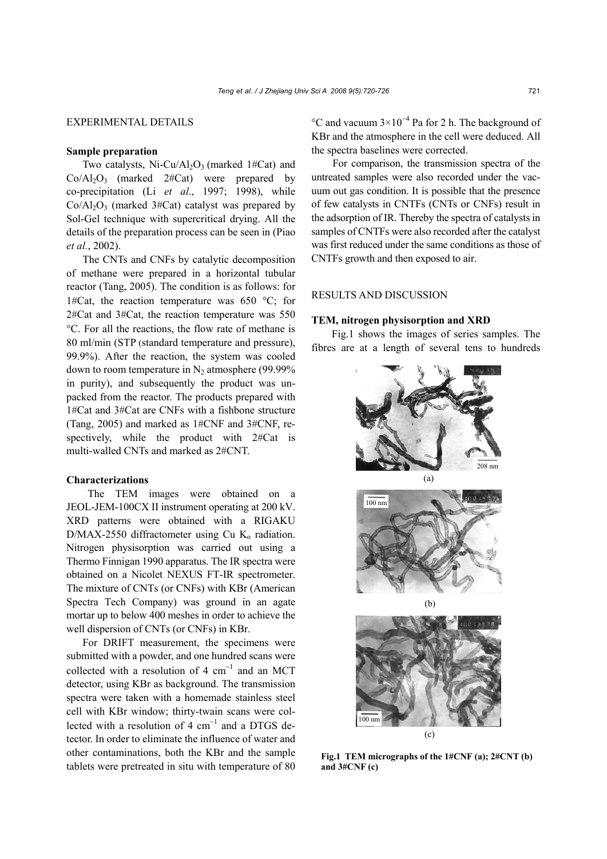# EXPERIMENTAL DETAILS

## **Sample preparation**

Two catalysts, Ni-Cu/Al<sub>2</sub>O<sub>3</sub> (marked 1#Cat) and  $Co/Al<sub>2</sub>O<sub>3</sub>$  (marked 2#Cat) were prepared by co-precipitation (Li *et al*., 1997; 1998), while  $Co\langle Al_2O_3 \rangle$  (marked 3#Cat) catalyst was prepared by Sol-Gel technique with supercritical drying. All the details of the preparation process can be seen in (Piao *et al.*, 2002).

The CNTs and CNFs by catalytic decomposition of methane were prepared in a horizontal tubular reactor (Tang, 2005). The condition is as follows: for 1#Cat, the reaction temperature was 650  $^{\circ}$ C; for 2#Cat and 3#Cat, the reaction temperature was 550 °C. For all the reactions, the flow rate of methane is 80 ml/min (STP (standard temperature and pressure), 99.9%). After the reaction, the system was cooled down to room temperature in  $N_2$  atmosphere (99.99%) in purity), and subsequently the product was unpacked from the reactor. The products prepared with 1#Cat and 3#Cat are CNFs with a fishbone structure (Tang, 2005) and marked as 1#CNF and 3#CNF, respectively, while the product with 2#Cat is multi-walled CNTs and marked as 2#CNT.

### **Characterizations**

The TEM images were obtained on a JEOL-JEM-100CX II instrument operating at 200 kV. XRD patterns were obtained with a RIGAKU D/MAX-2550 diffractometer using Cu K*α* radiation. Nitrogen physisorption was carried out using a Thermo Finnigan 1990 apparatus. The IR spectra were obtained on a Nicolet NEXUS FT-IR spectrometer. The mixture of CNTs (or CNFs) with KBr (American Spectra Tech Company) was ground in an agate mortar up to below 400 meshes in order to achieve the well dispersion of CNTs (or CNFs) in KBr.

For DRIFT measurement, the specimens were submitted with a powder, and one hundred scans were collected with a resolution of 4  $cm^{-1}$  and an MCT detector, using KBr as background. The transmission spectra were taken with a homemade stainless steel cell with KBr window; thirty-twain scans were collected with a resolution of 4  $cm^{-1}$  and a DTGS detector. In order to eliminate the influence of water and other contaminations, both the KBr and the sample tablets were pretreated in situ with temperature of 80

°C and vacuum 3×10<sup>-4</sup> Pa for 2 h. The background of KBr and the atmosphere in the cell were deduced. All the spectra baselines were corrected.

For comparison, the transmission spectra of the untreated samples were also recorded under the vacuum out gas condition. It is possible that the presence of few catalysts in CNTFs (CNTs or CNFs) result in the adsorption of IR. Thereby the spectra of catalysts in samples of CNTFs were also recorded after the catalyst was first reduced under the same conditions as those of CNTFs growth and then exposed to air.

# RESULTS AND DISCUSSION

#### **TEM, nitrogen physisorption and XRD**

Fig.1 shows the images of series samples. The fibres are at a length of several tens to hundreds



**Fig.1 TEM micrographs of the 1#CNF (a); 2#CNT (b) and 3#CNF (c)**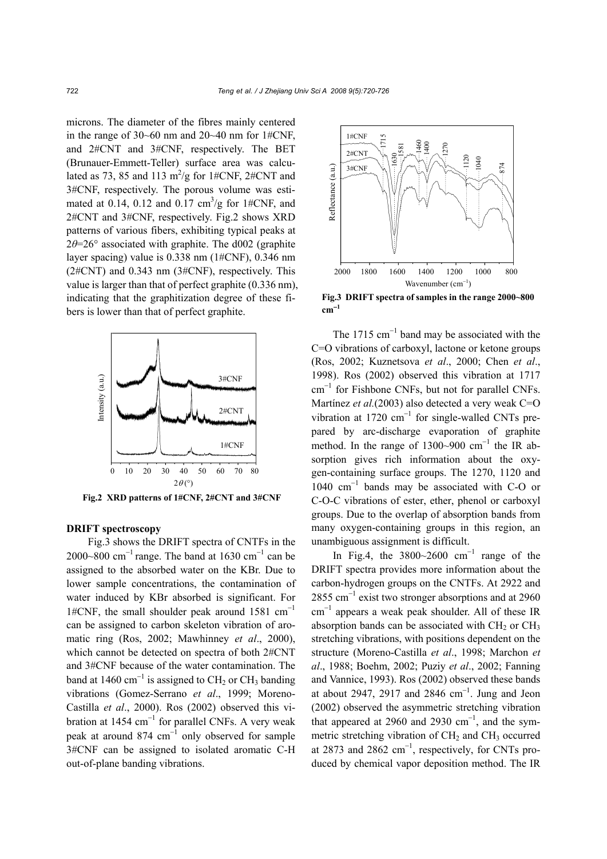microns. The diameter of the fibres mainly centered in the range of 30~60 nm and 20~40 nm for 1#CNF, and 2#CNT and 3#CNF, respectively. The BET (Brunauer-Emmett-Teller) surface area was calculated as 73, 85 and 113  $\text{m}^2/\text{g}$  for 1#CNF, 2#CNT and 3#CNF, respectively. The porous volume was estimated at 0.14, 0.12 and 0.17  $\text{cm}^3/\text{g}$  for 1#CNF, and 2#CNT and 3#CNF, respectively. Fig.2 shows XRD patterns of various fibers, exhibiting typical peaks at 2*θ*=26° associated with graphite. The d002 (graphite layer spacing) value is 0.338 nm (1#CNF), 0.346 nm (2#CNT) and 0.343 nm (3#CNF), respectively. This value is larger than that of perfect graphite (0.336 nm), indicating that the graphitization degree of these fibers is lower than that of perfect graphite.



**Fig.2 XRD patterns of 1#CNF, 2#CNT and 3#CNF**

# **DRIFT spectroscopy**

Fig.3 shows the DRIFT spectra of CNTFs in the 2000~800 cm<sup>-1</sup> range. The band at 1630 cm<sup>-1</sup> can be assigned to the absorbed water on the KBr. Due to lower sample concentrations, the contamination of water induced by KBr absorbed is significant. For 1#CNF, the small shoulder peak around 1581 cm<sup>-1</sup> can be assigned to carbon skeleton vibration of aromatic ring (Ros, 2002; Mawhinney *et al*., 2000), which cannot be detected on spectra of both 2#CNT and 3#CNF because of the water contamination. The band at 1460 cm<sup>-1</sup> is assigned to CH<sub>2</sub> or CH<sub>3</sub> banding vibrations (Gomez-Serrano *et al*., 1999; Moreno-Castilla *et al*., 2000). Ros (2002) observed this vibration at 1454  $cm^{-1}$  for parallel CNFs. A very weak peak at around 874  $cm^{-1}$  only observed for sample 3#CNF can be assigned to isolated aromatic C-H out-of-plane banding vibrations.



**Fig.3 DRIFT spectra of samples in the range 2000~800**  $cm^{-1}$ 

The 1715  $\text{cm}^{-1}$  band may be associated with the C=O vibrations of carboxyl, lactone or ketone groups (Ros, 2002; Kuznetsova *et al*., 2000; Chen *et al*., 1998). Ros (2002) observed this vibration at 1717 cm<sup>−</sup><sup>1</sup> for Fishbone CNFs, but not for parallel CNFs. Martínez *et al.*(2003) also detected a very weak C=O vibration at 1720  $cm^{-1}$  for single-walled CNTs prepared by arc-discharge evaporation of graphite method. In the range of 1300~900  $cm^{-1}$  the IR absorption gives rich information about the oxygen-containing surface groups. The 1270, 1120 and 1040 cm<sup>−</sup><sup>1</sup> bands may be associated with C-O or C-O-C vibrations of ester, ether, phenol or carboxyl groups. Due to the overlap of absorption bands from many oxygen-containing groups in this region, an unambiguous assignment is difficult.

In Fig.4, the  $3800~2600$  cm<sup>-1</sup> range of the DRIFT spectra provides more information about the carbon-hydrogen groups on the CNTFs. At 2922 and 2855 cm<sup>-1</sup> exist two stronger absorptions and at 2960 cm<sup>−</sup><sup>1</sup> appears a weak peak shoulder. All of these IR absorption bands can be associated with  $CH<sub>2</sub>$  or  $CH<sub>3</sub>$ stretching vibrations, with positions dependent on the structure (Moreno-Castilla *et al*., 1998; Marchon *et al*., 1988; Boehm, 2002; Puziy *et al*., 2002; Fanning and Vannice, 1993). Ros (2002) observed these bands at about 2947, 2917 and 2846  $cm^{-1}$ . Jung and Jeon (2002) observed the asymmetric stretching vibration that appeared at 2960 and 2930 cm<sup>-1</sup>, and the symmetric stretching vibration of  $CH<sub>2</sub>$  and  $CH<sub>3</sub>$  occurred at 2873 and 2862  $cm^{-1}$ , respectively, for CNTs produced by chemical vapor deposition method. The IR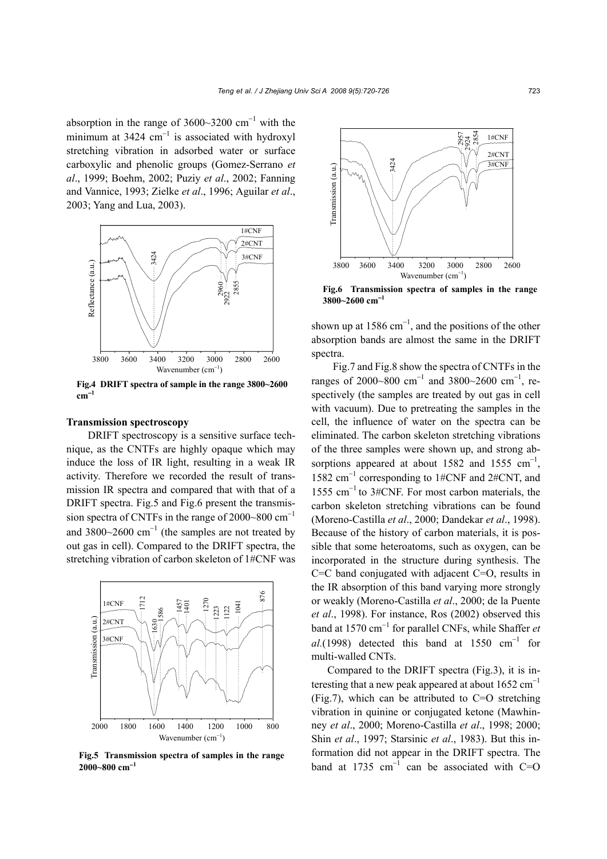absorption in the range of  $3600~3200$  cm<sup>-1</sup> with the minimum at 3424  $cm^{-1}$  is associated with hydroxyl stretching vibration in adsorbed water or surface carboxylic and phenolic groups (Gomez-Serrano *et al*., 1999; Boehm, 2002; Puziy *et al*., 2002; Fanning and Vannice, 1993; Zielke *et al*., 1996; Aguilar *et al*., 2003; Yang and Lua, 2003).



**Fig.4 DRIFT spectra of sample in the range 3800~2600** 

# **Transmission spectroscopy**

DRIFT spectroscopy is a sensitive surface technique, as the CNTFs are highly opaque which may induce the loss of IR light, resulting in a weak IR activity. Therefore we recorded the result of transmission IR spectra and compared that with that of a DRIFT spectra. Fig.5 and Fig.6 present the transmission spectra of CNTFs in the range of 2000~800  $cm^{-1}$ and 3800 $\sim$ 2600 cm<sup>-1</sup> (the samples are not treated by out gas in cell). Compared to the DRIFT spectra, the stretching vibration of carbon skeleton of 1#CNF was



**Fig.5 Transmission spectra of samples in the range 2000~800 cm**<sup>−</sup>**<sup>1</sup>**



**Fig.6 Transmission spectra of samples in the range**

shown up at 1586  $cm^{-1}$ , and the positions of the other absorption bands are almost the same in the DRIFT spectra.

Fig.7 and Fig.8 show the spectra of CNTFs in the ranges of 2000~800 cm<sup>-1</sup> and 3800~2600 cm<sup>-1</sup>, respectively (the samples are treated by out gas in cell with vacuum). Due to pretreating the samples in the cell, the influence of water on the spectra can be eliminated. The carbon skeleton stretching vibrations of the three samples were shown up, and strong absorptions appeared at about 1582 and 1555  $cm^{-1}$ , 1582 cm<sup>−</sup><sup>1</sup> corresponding to 1#CNF and 2#CNT, and 1555 cm<sup>−</sup>1 to 3#CNF. For most carbon materials, the carbon skeleton stretching vibrations can be found (Moreno-Castilla *et al*., 2000; Dandekar *et al*., 1998). Because of the history of carbon materials, it is possible that some heteroatoms, such as oxygen, can be incorporated in the structure during synthesis. The C=C band conjugated with adjacent C=O, results in the IR absorption of this band varying more strongly or weakly (Moreno-Castilla *et al*., 2000; de la Puente *et al*., 1998). For instance, Ros (2002) observed this band at 1570 cm<sup>−</sup><sup>1</sup> for parallel CNFs, while Shaffer *et*   $al.$ (1998) detected this band at 1550  $cm^{-1}$  for multi-walled CNTs.

Compared to the DRIFT spectra (Fig.3), it is interesting that a new peak appeared at about  $1652 \text{ cm}^{-1}$ (Fig.7), which can be attributed to C=O stretching vibration in quinine or conjugated ketone (Mawhinney *et al*., 2000; Moreno-Castilla *et al*., 1998; 2000; Shin *et al*., 1997; Starsinic *et al*., 1983). But this information did not appear in the DRIFT spectra. The band at 1735  $cm^{-1}$  can be associated with C=O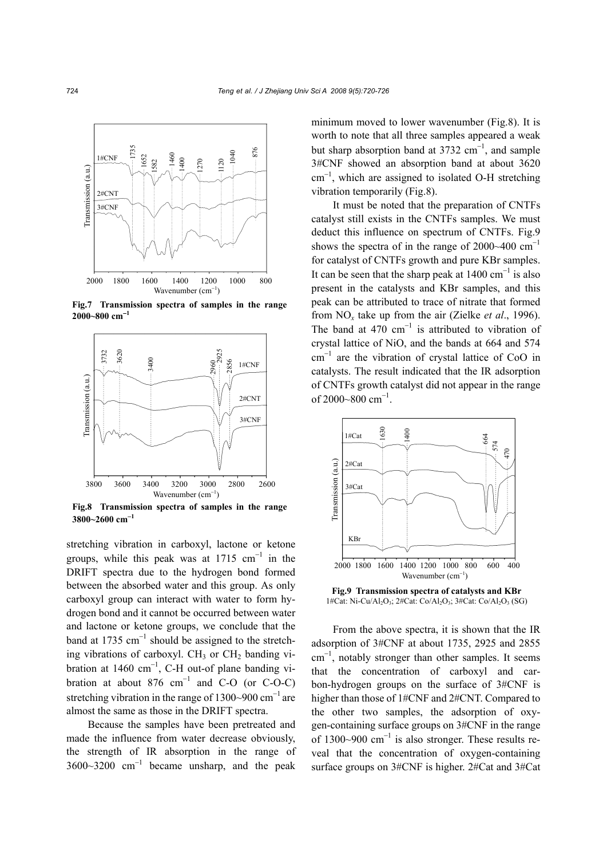

**Fig.7 Transmission spectra of samples in the range 2000~800 cm**<sup>−</sup>**<sup>1</sup>**



**Fig.8 Transmission spectra of samples in the range 3800~2600 cm**<sup>−</sup>**<sup>1</sup>**

stretching vibration in carboxyl, lactone or ketone groups, while this peak was at  $1715 \text{ cm}^{-1}$  in the DRIFT spectra due to the hydrogen bond formed between the absorbed water and this group. As only carboxyl group can interact with water to form hydrogen bond and it cannot be occurred between water and lactone or ketone groups, we conclude that the band at 1735  $cm^{-1}$  should be assigned to the stretching vibrations of carboxyl.  $CH_3$  or  $CH_2$  banding vibration at 1460  $cm^{-1}$ , C-H out-of plane banding vibration at about 876  $cm^{-1}$  and C-O (or C-O-C) stretching vibration in the range of 1300~900  $\text{cm}^{-1}$  are almost the same as those in the DRIFT spectra.

Because the samples have been pretreated and made the influence from water decrease obviously, the strength of IR absorption in the range of  $3600~3200$  cm<sup>-1</sup> became unsharp, and the peak minimum moved to lower wavenumber (Fig.8). It is worth to note that all three samples appeared a weak but sharp absorption band at 3732  $cm^{-1}$ , and sample 3#CNF showed an absorption band at about 3620 cm<sup>−</sup><sup>1</sup> , which are assigned to isolated O-H stretching vibration temporarily (Fig.8).

It must be noted that the preparation of CNTFs catalyst still exists in the CNTFs samples. We must deduct this influence on spectrum of CNTFs. Fig.9 shows the spectra of in the range of 2000~400  $cm^{-1}$ for catalyst of CNTFs growth and pure KBr samples. It can be seen that the sharp peak at  $1400 \text{ cm}^{-1}$  is also present in the catalysts and KBr samples, and this peak can be attributed to trace of nitrate that formed from NO*x* take up from the air (Zielke *et al*., 1996). The band at 470  $cm^{-1}$  is attributed to vibration of crystal lattice of NiO, and the bands at 664 and 574 cm<sup>−</sup><sup>1</sup> are the vibration of crystal lattice of CoO in catalysts. The result indicated that the IR adsorption of CNTFs growth catalyst did not appear in the range of 2000~800 cm<sup>-1</sup>.



**Fig.9 Transmission spectra of catalysts and KBr** 

From the above spectra, it is shown that the IR adsorption of 3#CNF at about 1735, 2925 and 2855 cm<sup>−</sup><sup>1</sup> , notably stronger than other samples. It seems that the concentration of carboxyl and carbon-hydrogen groups on the surface of 3#CNF is higher than those of 1#CNF and 2#CNT. Compared to the other two samples, the adsorption of oxygen-containing surface groups on 3#CNF in the range of 1300~900  $\text{cm}^{-1}$  is also stronger. These results reveal that the concentration of oxygen-containing surface groups on 3#CNF is higher. 2#Cat and 3#Cat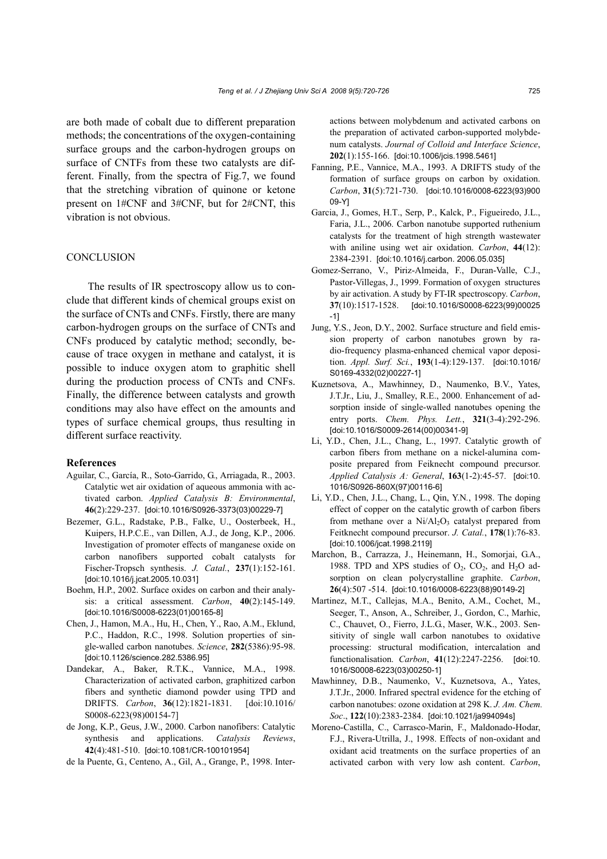are both made of cobalt due to different preparation methods; the concentrations of the oxygen-containing surface groups and the carbon-hydrogen groups on surface of CNTFs from these two catalysts are different. Finally, from the spectra of Fig.7, we found that the stretching vibration of quinone or ketone present on 1#CNF and 3#CNF, but for 2#CNT, this vibration is not obvious.

#### **CONCLUSION**

The results of IR spectroscopy allow us to conclude that different kinds of chemical groups exist on the surface of CNTs and CNFs. Firstly, there are many carbon-hydrogen groups on the surface of CNTs and CNFs produced by catalytic method; secondly, because of trace oxygen in methane and catalyst, it is possible to induce oxygen atom to graphitic shell during the production process of CNTs and CNFs. Finally, the difference between catalysts and growth conditions may also have effect on the amounts and types of surface chemical groups, thus resulting in different surface reactivity.

#### **References**

- Aguilar, C., García, R., Soto-Garrido, G., Arriagada, R., 2003. Catalytic wet air oxidation of aqueous ammonia with activated carbon. *Applied Catalysis B: Environmental*, **46**(2):229-237. [doi:10.1016/S0926-3373(03)00229-7]
- Bezemer, G.L., Radstake, P.B., Falke, U., Oosterbeek, H., Kuipers, H.P.C.E., van Dillen, A.J., de Jong, K.P., 2006. Investigation of promoter effects of manganese oxide on carbon nanofibers supported cobalt catalysts for Fischer-Tropsch synthesis. *J. Catal.*, **237**(1):152-161. [doi:10.1016/j.jcat.2005.10.031]
- Boehm, H.P., 2002. Surface oxides on carbon and their analysis: a critical assessment. *Carbon*, **40**(2):145-149. [doi:10.1016/S0008-6223(01)00165-8]
- Chen, J., Hamon, M.A., Hu, H., Chen, Y., Rao, A.M., Eklund, P.C., Haddon, R.C., 1998. Solution properties of single-walled carbon nanotubes. *Science*, **282**(5386):95-98. [doi:10.1126/science.282.5386.95]
- Dandekar, A., Baker, R.T.K., Vannice, M.A., 1998. Characterization of activated carbon, graphitized carbon fibers and synthetic diamond powder using TPD and DRIFTS. *Carbon*, **36**(12):1821-1831. [doi:10.1016/ S0008-6223(98)00154-7]
- de Jong, K.P., Geus, J.W., 2000. Carbon nanofibers: Catalytic synthesis and applications. *Catalysis Reviews*, **42**(4):481-510. [doi:10.1081/CR-100101954]
- de la Puente, G., Centeno, A., Gil, A., Grange, P., 1998. Inter-

actions between molybdenum and activated carbons on the preparation of activated carbon-supported molybdenum catalysts. *Journal of Colloid and Interface Science*, **202**(1):155-166. [doi:10.1006/jcis.1998.5461]

- Fanning, P.E., Vannice, M.A., 1993. A DRIFTS study of the formation of surface groups on carbon by oxidation. *Carbon*, **31**(5):721-730. [doi:10.1016/0008-6223(93)900 09-Y]
- Garcia, J., Gomes, H.T., Serp, P., Kalck, P., Figueiredo, J.L., Faria, J.L., 2006. Carbon nanotube supported ruthenium catalysts for the treatment of high strength wastewater with aniline using wet air oxidation. *Carbon*, **44**(12): 2384-2391. [doi:10.1016/j.carbon. 2006.05.035]
- Gomez-Serrano, V., Piriz-Almeida, F., Duran-Valle, C.J., Pastor-Villegas, J., 1999. Formation of oxygen structures by air activation. A study by FT-IR spectroscopy. *Carbon*, **37**(10):1517-1528. [doi:10.1016/S0008-6223(99)00025 -1]
- Jung, Y.S., Jeon, D.Y., 2002. Surface structure and field emission property of carbon nanotubes grown by radio-frequency plasma-enhanced chemical vapor deposition. *Appl. Surf. Sci.*, **193**(1-4):129-137. [doi:10.1016/ S0169-4332(02)00227-1]
- Kuznetsova, A., Mawhinney, D., Naumenko, B.V., Yates, J.T.Jr., Liu, J., Smalley, R.E., 2000. Enhancement of adsorption inside of single-walled nanotubes opening the entry ports. *Chem. Phys. Lett.*, **321**(3-4):292-296. [doi:10.1016/S0009-2614(00)00341-9]
- Li, Y.D., Chen, J.L., Chang, L., 1997. Catalytic growth of carbon fibers from methane on a nickel-alumina composite prepared from Feiknecht compound precursor. *Applied Catalysis A: General*, **163**(1-2):45-57. [doi:10. 1016/S0926-860X(97)00116-6]
- Li, Y.D., Chen, J.L., Chang, L., Qin, Y.N*.*, 1998. The doping effect of copper on the catalytic growth of carbon fibers from methane over a  $Ni/Al<sub>2</sub>O<sub>3</sub>$  catalyst prepared from Feitknecht compound precursor. *J. Catal.*, **178**(1):76-83. [doi:10.1006/jcat.1998.2119]
- Marchon, B., Carrazza, J., Heinemann, H., Somorjai, G.A., 1988. TPD and XPS studies of  $O_2$ ,  $CO_2$ , and  $H_2O$  adsorption on clean polycrystalline graphite. *Carbon*, **26**(4):507 -514. [doi:10.1016/0008-6223(88)90149-2]
- Martinez, M.T., Callejas, M.A., Benito, A.M., Cochet, M., Seeger, T., Anson, A., Schreiber, J., Gordon, C., Marhic, C., Chauvet, O., Fierro, J.L.G., Maser, W.K., 2003. Sensitivity of single wall carbon nanotubes to oxidative processing: structural modification, intercalation and functionalisation. *Carbon*, **41**(12):2247-2256. [doi:10. 1016/S0008-6223(03)00250-1]
- Mawhinney, D.B., Naumenko, V., Kuznetsova, A., Yates, J.T.Jr., 2000. Infrared spectral evidence for the etching of carbon nanotubes: ozone oxidation at 298 K. *J. Am. Chem. Soc*., **122**(10):2383-2384. [doi:10.1021/ja994094s]
- Moreno-Castilla, C., Carrasco-Marin, F., Maldonado-Hodar, F.J., Rivera-Utrilla, J., 1998. Effects of non-oxidant and oxidant acid treatments on the surface properties of an activated carbon with very low ash content. *Carbon*,